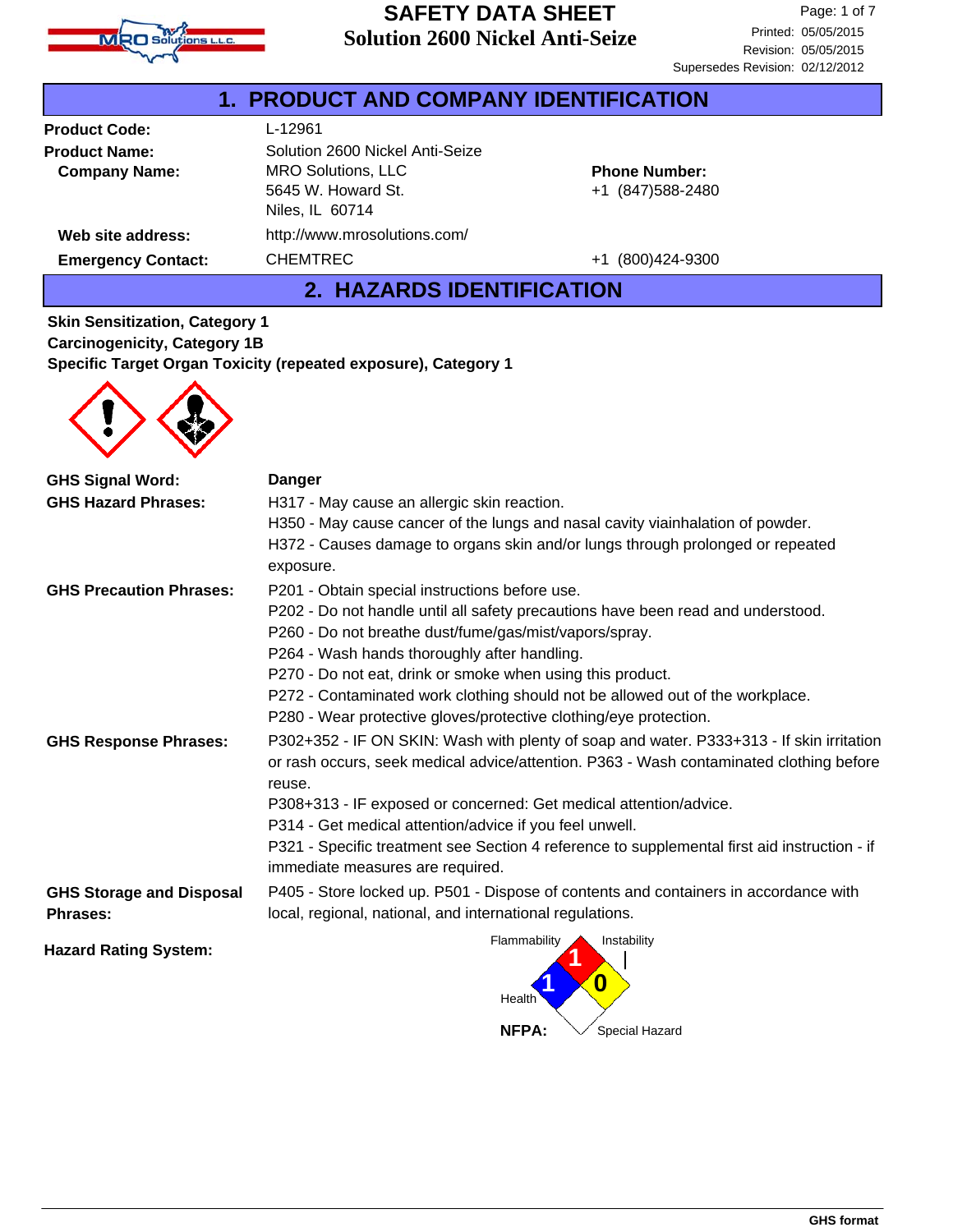

|                           | <b>1. PRODUCT AND COMPANY IDENTIFICATION</b>                       |                                           |
|---------------------------|--------------------------------------------------------------------|-------------------------------------------|
| <b>Product Code:</b>      | L-12961                                                            |                                           |
| <b>Product Name:</b>      | Solution 2600 Nickel Anti-Seize                                    |                                           |
| <b>Company Name:</b>      | <b>MRO Solutions, LLC</b><br>5645 W. Howard St.<br>Niles, IL 60714 | <b>Phone Number:</b><br>+1 (847) 588-2480 |
| Web site address:         | http://www.mrosolutions.com/                                       |                                           |
| <b>Emergency Contact:</b> | <b>CHEMTREC</b>                                                    | (800)424-9300<br>$+1$                     |

### **2. HAZARDS IDENTIFICATION**

**Skin Sensitization, Category 1 Carcinogenicity, Category 1B Specific Target Organ Toxicity (repeated exposure), Category 1**



| <b>GHS Signal Word:</b>                            | Danger                                                                                                                                                                                        |
|----------------------------------------------------|-----------------------------------------------------------------------------------------------------------------------------------------------------------------------------------------------|
| <b>GHS Hazard Phrases:</b>                         | H317 - May cause an allergic skin reaction.                                                                                                                                                   |
|                                                    | H350 - May cause cancer of the lungs and nasal cavity viainhalation of powder.                                                                                                                |
|                                                    | H372 - Causes damage to organs skin and/or lungs through prolonged or repeated                                                                                                                |
|                                                    | exposure.                                                                                                                                                                                     |
| <b>GHS Precaution Phrases:</b>                     | P201 - Obtain special instructions before use.                                                                                                                                                |
|                                                    | P202 - Do not handle until all safety precautions have been read and understood.                                                                                                              |
|                                                    | P260 - Do not breathe dust/fume/gas/mist/vapors/spray.                                                                                                                                        |
|                                                    | P264 - Wash hands thoroughly after handling.                                                                                                                                                  |
|                                                    | P270 - Do not eat, drink or smoke when using this product.                                                                                                                                    |
|                                                    | P272 - Contaminated work clothing should not be allowed out of the workplace.                                                                                                                 |
|                                                    | P280 - Wear protective gloves/protective clothing/eye protection.                                                                                                                             |
| <b>GHS Response Phrases:</b>                       | P302+352 - IF ON SKIN: Wash with plenty of soap and water. P333+313 - If skin irritation<br>or rash occurs, seek medical advice/attention. P363 - Wash contaminated clothing before<br>reuse. |
|                                                    | P308+313 - IF exposed or concerned: Get medical attention/advice.                                                                                                                             |
|                                                    | P314 - Get medical attention/advice if you feel unwell.                                                                                                                                       |
|                                                    | P321 - Specific treatment see Section 4 reference to supplemental first aid instruction - if<br>immediate measures are required.                                                              |
| <b>GHS Storage and Disposal</b><br><b>Phrases:</b> | P405 - Store locked up. P501 - Dispose of contents and containers in accordance with<br>local, regional, national, and international regulations.                                             |
| <b>Hazard Rating System:</b>                       | Flammability<br>Instability                                                                                                                                                                   |

**Health** 

**NFPA:**

Special Hazard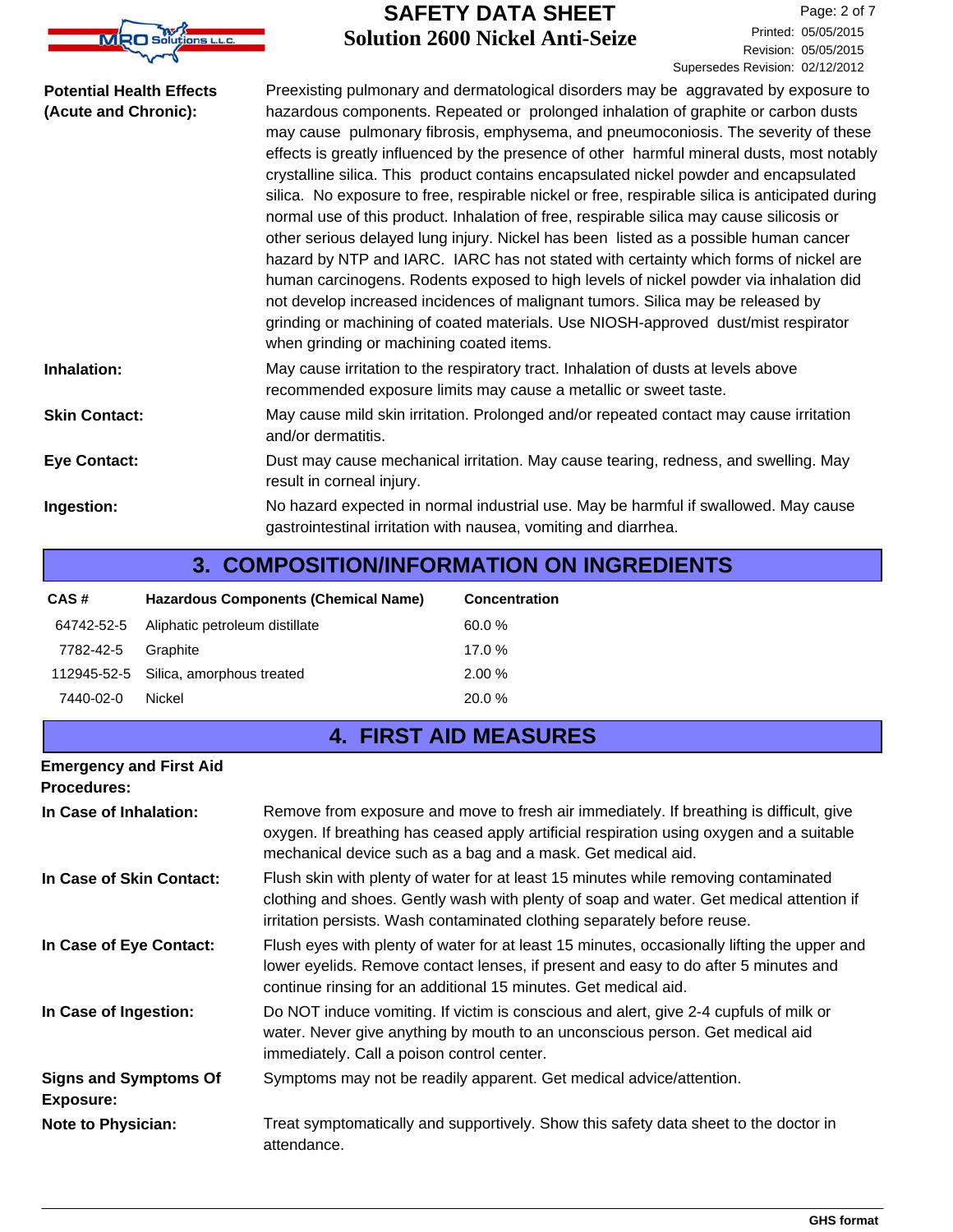

Revision: 05/05/2015 Printed: 05/05/2015 Page: 2 of 7 Supersedes Revision: 02/12/2012

| <b>Potential Health Effects</b><br>(Acute and Chronic): | Preexisting pulmonary and dermatological disorders may be aggravated by exposure to<br>hazardous components. Repeated or prolonged inhalation of graphite or carbon dusts<br>may cause pulmonary fibrosis, emphysema, and pneumoconiosis. The severity of these<br>effects is greatly influenced by the presence of other harmful mineral dusts, most notably<br>crystalline silica. This product contains encapsulated nickel powder and encapsulated<br>silica. No exposure to free, respirable nickel or free, respirable silica is anticipated during<br>normal use of this product. Inhalation of free, respirable silica may cause silicosis or<br>other serious delayed lung injury. Nickel has been listed as a possible human cancer<br>hazard by NTP and IARC. IARC has not stated with certainty which forms of nickel are<br>human carcinogens. Rodents exposed to high levels of nickel powder via inhalation did<br>not develop increased incidences of malignant tumors. Silica may be released by<br>grinding or machining of coated materials. Use NIOSH-approved dust/mist respirator<br>when grinding or machining coated items. |
|---------------------------------------------------------|-----------------------------------------------------------------------------------------------------------------------------------------------------------------------------------------------------------------------------------------------------------------------------------------------------------------------------------------------------------------------------------------------------------------------------------------------------------------------------------------------------------------------------------------------------------------------------------------------------------------------------------------------------------------------------------------------------------------------------------------------------------------------------------------------------------------------------------------------------------------------------------------------------------------------------------------------------------------------------------------------------------------------------------------------------------------------------------------------------------------------------------------------------|
| Inhalation:                                             | May cause irritation to the respiratory tract. Inhalation of dusts at levels above<br>recommended exposure limits may cause a metallic or sweet taste.                                                                                                                                                                                                                                                                                                                                                                                                                                                                                                                                                                                                                                                                                                                                                                                                                                                                                                                                                                                              |
| <b>Skin Contact:</b>                                    | May cause mild skin irritation. Prolonged and/or repeated contact may cause irritation<br>and/or dermatitis.                                                                                                                                                                                                                                                                                                                                                                                                                                                                                                                                                                                                                                                                                                                                                                                                                                                                                                                                                                                                                                        |
| <b>Eye Contact:</b>                                     | Dust may cause mechanical irritation. May cause tearing, redness, and swelling. May<br>result in corneal injury.                                                                                                                                                                                                                                                                                                                                                                                                                                                                                                                                                                                                                                                                                                                                                                                                                                                                                                                                                                                                                                    |
| Ingestion:                                              | No hazard expected in normal industrial use. May be harmful if swallowed. May cause<br>gastrointestinal irritation with nausea, vomiting and diarrhea.                                                                                                                                                                                                                                                                                                                                                                                                                                                                                                                                                                                                                                                                                                                                                                                                                                                                                                                                                                                              |

### **3. COMPOSITION/INFORMATION ON INGREDIENTS**

| CAS#       | Hazardous Components (Chemical Name)  | <b>Concentration</b> |
|------------|---------------------------------------|----------------------|
| 64742-52-5 | Aliphatic petroleum distillate        | 60.0 %               |
| 7782-42-5  | Graphite                              | 17.0%                |
|            | 112945-52-5 Silica, amorphous treated | 2.00%                |
| 7440-02-0  | Nickel                                | 20.0 %               |

# **4. FIRST AID MEASURES**

| <b>Emergency and First Aid</b><br><b>Procedures:</b> |                                                                                                                                                                                                                                                            |
|------------------------------------------------------|------------------------------------------------------------------------------------------------------------------------------------------------------------------------------------------------------------------------------------------------------------|
| In Case of Inhalation:                               | Remove from exposure and move to fresh air immediately. If breathing is difficult, give<br>oxygen. If breathing has ceased apply artificial respiration using oxygen and a suitable<br>mechanical device such as a bag and a mask. Get medical aid.        |
| In Case of Skin Contact:                             | Flush skin with plenty of water for at least 15 minutes while removing contaminated<br>clothing and shoes. Gently wash with plenty of soap and water. Get medical attention if<br>irritation persists. Wash contaminated clothing separately before reuse. |
| In Case of Eye Contact:                              | Flush eyes with plenty of water for at least 15 minutes, occasionally lifting the upper and<br>lower eyelids. Remove contact lenses, if present and easy to do after 5 minutes and<br>continue rinsing for an additional 15 minutes. Get medical aid.      |
| In Case of Ingestion:                                | Do NOT induce vomiting. If victim is conscious and alert, give 2-4 cupfuls of milk or<br>water. Never give anything by mouth to an unconscious person. Get medical aid<br>immediately. Call a poison control center.                                       |
| <b>Signs and Symptoms Of</b><br>Exposure:            | Symptoms may not be readily apparent. Get medical advice/attention.                                                                                                                                                                                        |
| Note to Physician:                                   | Treat symptomatically and supportively. Show this safety data sheet to the doctor in<br>attendance.                                                                                                                                                        |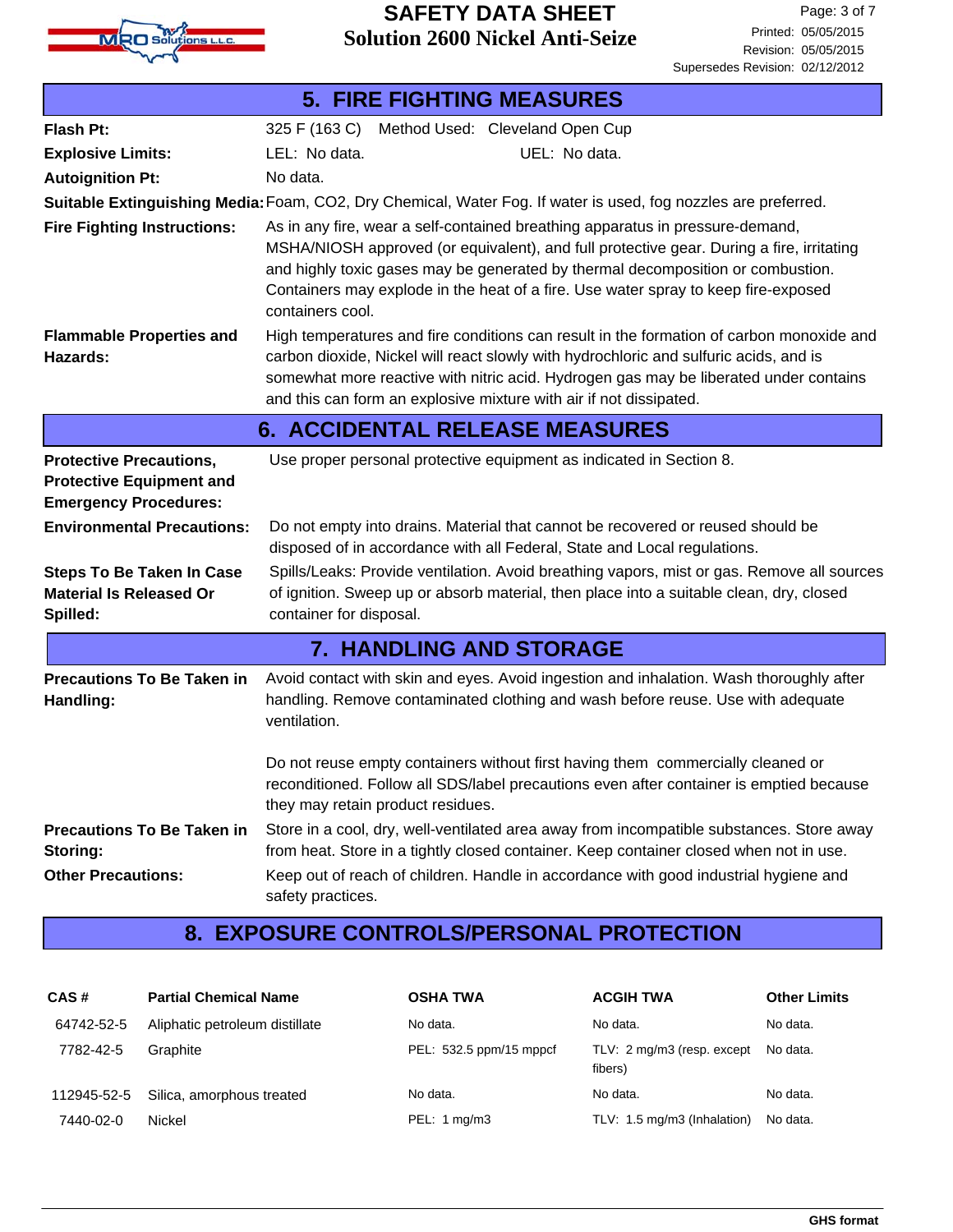

| <b>5. FIRE FIGHTING MEASURES</b>                                                                  |                                                                                                                                                                                                                                                                                                                                                                        |  |  |
|---------------------------------------------------------------------------------------------------|------------------------------------------------------------------------------------------------------------------------------------------------------------------------------------------------------------------------------------------------------------------------------------------------------------------------------------------------------------------------|--|--|
| Flash Pt:                                                                                         | 325 F (163 C)<br>Method Used: Cleveland Open Cup                                                                                                                                                                                                                                                                                                                       |  |  |
| <b>Explosive Limits:</b>                                                                          | LEL: No data.<br>UEL: No data.                                                                                                                                                                                                                                                                                                                                         |  |  |
| <b>Autoignition Pt:</b>                                                                           | No data.                                                                                                                                                                                                                                                                                                                                                               |  |  |
|                                                                                                   | Suitable Extinguishing Media: Foam, CO2, Dry Chemical, Water Fog. If water is used, fog nozzles are preferred.                                                                                                                                                                                                                                                         |  |  |
| <b>Fire Fighting Instructions:</b>                                                                | As in any fire, wear a self-contained breathing apparatus in pressure-demand,<br>MSHA/NIOSH approved (or equivalent), and full protective gear. During a fire, irritating<br>and highly toxic gases may be generated by thermal decomposition or combustion.<br>Containers may explode in the heat of a fire. Use water spray to keep fire-exposed<br>containers cool. |  |  |
| <b>Flammable Properties and</b><br>Hazards:                                                       | High temperatures and fire conditions can result in the formation of carbon monoxide and<br>carbon dioxide, Nickel will react slowly with hydrochloric and sulfuric acids, and is<br>somewhat more reactive with nitric acid. Hydrogen gas may be liberated under contains<br>and this can form an explosive mixture with air if not dissipated.                       |  |  |
|                                                                                                   | <b>6. ACCIDENTAL RELEASE MEASURES</b>                                                                                                                                                                                                                                                                                                                                  |  |  |
| <b>Protective Precautions,</b><br><b>Protective Equipment and</b><br><b>Emergency Procedures:</b> | Use proper personal protective equipment as indicated in Section 8.                                                                                                                                                                                                                                                                                                    |  |  |
| <b>Environmental Precautions:</b>                                                                 | Do not empty into drains. Material that cannot be recovered or reused should be<br>disposed of in accordance with all Federal, State and Local regulations.                                                                                                                                                                                                            |  |  |
| <b>Steps To Be Taken In Case</b><br><b>Material Is Released Or</b><br>Spilled:                    | Spills/Leaks: Provide ventilation. Avoid breathing vapors, mist or gas. Remove all sources<br>of ignition. Sweep up or absorb material, then place into a suitable clean, dry, closed<br>container for disposal.                                                                                                                                                       |  |  |
|                                                                                                   | <b>7. HANDLING AND STORAGE</b>                                                                                                                                                                                                                                                                                                                                         |  |  |
| <b>Precautions To Be Taken in</b><br>Handling:                                                    | Avoid contact with skin and eyes. Avoid ingestion and inhalation. Wash thoroughly after<br>handling. Remove contaminated clothing and wash before reuse. Use with adequate<br>ventilation.                                                                                                                                                                             |  |  |
|                                                                                                   | Do not reuse empty containers without first having them commercially cleaned or<br>reconditioned. Follow all SDS/label precautions even after container is emptied because<br>they may retain product residues.                                                                                                                                                        |  |  |
| <b>Precautions To Be Taken in</b><br>Storing:                                                     | Store in a cool, dry, well-ventilated area away from incompatible substances. Store away<br>from heat. Store in a tightly closed container. Keep container closed when not in use.                                                                                                                                                                                     |  |  |
| <b>Other Precautions:</b>                                                                         | Keep out of reach of children. Handle in accordance with good industrial hygiene and<br>safety practices.                                                                                                                                                                                                                                                              |  |  |

# **8. EXPOSURE CONTROLS/PERSONAL PROTECTION**

| CAS#        | <b>Partial Chemical Name</b>   | <b>OSHA TWA</b>         | <b>ACGIH TWA</b>                      | <b>Other Limits</b> |
|-------------|--------------------------------|-------------------------|---------------------------------------|---------------------|
| 64742-52-5  | Aliphatic petroleum distillate | No data.                | No data.                              | No data.            |
| 7782-42-5   | Graphite                       | PEL: 532.5 ppm/15 mppcf | TLV: 2 mg/m3 (resp. except<br>fibers) | No data.            |
| 112945-52-5 | Silica, amorphous treated      | No data.                | No data.                              | No data.            |
| 7440-02-0   | Nickel                         | PEL: 1 mg/m3            | TLV: 1.5 mg/m3 (Inhalation)           | No data.            |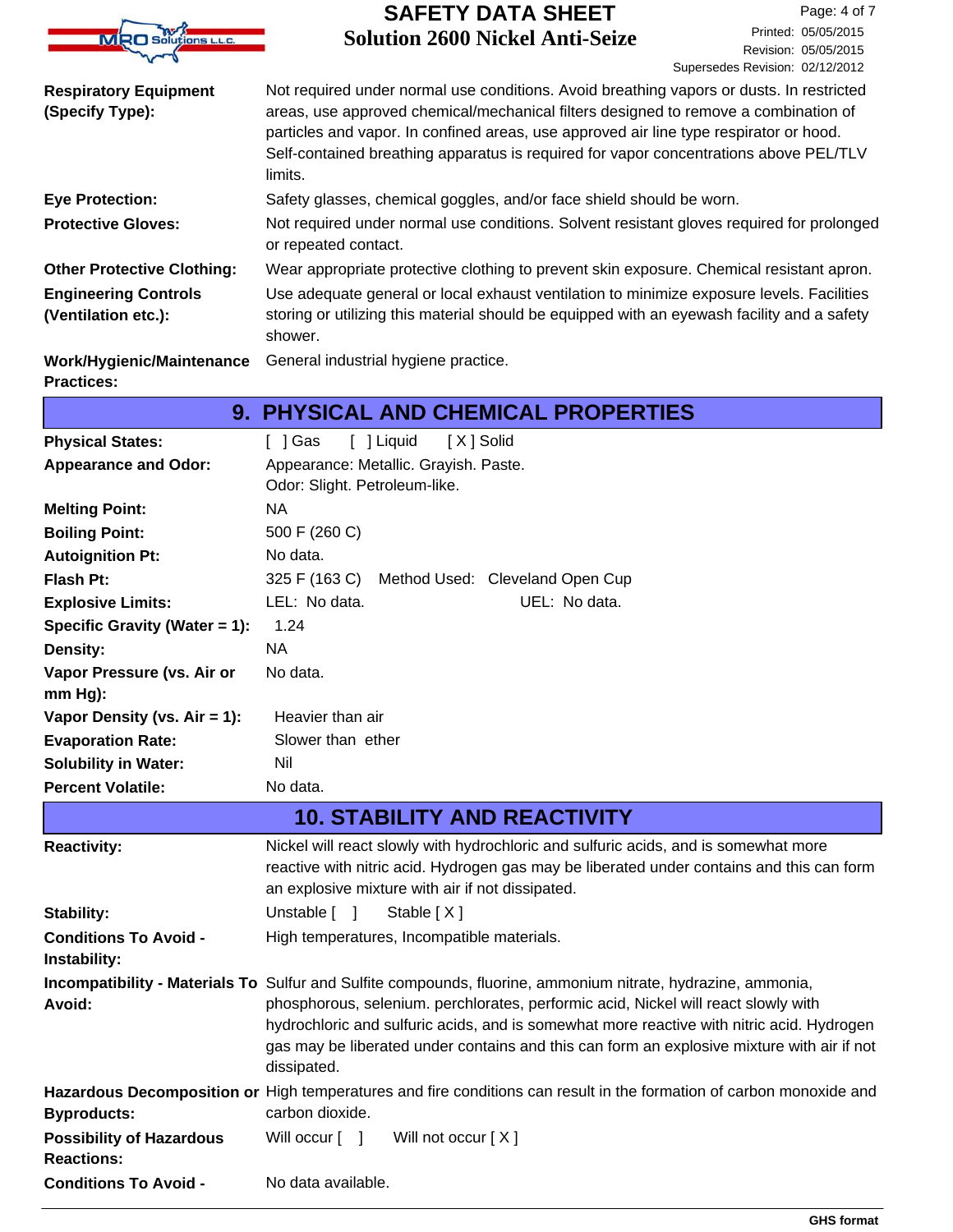

| <b>Respiratory Equipment</b>                       | Not required under normal use conditions. Avoid breathing vapors or dusts. In restricted                                                                                                                                                                                          |
|----------------------------------------------------|-----------------------------------------------------------------------------------------------------------------------------------------------------------------------------------------------------------------------------------------------------------------------------------|
| (Specify Type):                                    | areas, use approved chemical/mechanical filters designed to remove a combination of<br>particles and vapor. In confined areas, use approved air line type respirator or hood.<br>Self-contained breathing apparatus is required for vapor concentrations above PEL/TLV<br>limits. |
| <b>Eye Protection:</b>                             | Safety glasses, chemical goggles, and/or face shield should be worn.                                                                                                                                                                                                              |
| <b>Protective Gloves:</b>                          | Not required under normal use conditions. Solvent resistant gloves required for prolonged<br>or repeated contact.                                                                                                                                                                 |
| <b>Other Protective Clothing:</b>                  | Wear appropriate protective clothing to prevent skin exposure. Chemical resistant apron.                                                                                                                                                                                          |
| <b>Engineering Controls</b><br>(Ventilation etc.): | Use adequate general or local exhaust ventilation to minimize exposure levels. Facilities<br>storing or utilizing this material should be equipped with an eyewash facility and a safety<br>shower.                                                                               |
| Work/Hygienic/Maintenance                          | General industrial hygiene practice.                                                                                                                                                                                                                                              |
|                                                    |                                                                                                                                                                                                                                                                                   |

#### **Practices:**

# **9. PHYSICAL AND CHEMICAL PROPERTIES**

| <b>Physical States:</b>         | [ ] Liquid<br>[X] Solid<br>[ ] Gas                                                                                                     |
|---------------------------------|----------------------------------------------------------------------------------------------------------------------------------------|
| <b>Appearance and Odor:</b>     | Appearance: Metallic. Grayish. Paste.                                                                                                  |
|                                 | Odor: Slight. Petroleum-like.                                                                                                          |
| <b>Melting Point:</b>           | <b>NA</b>                                                                                                                              |
| <b>Boiling Point:</b>           | 500 F (260 C)                                                                                                                          |
| <b>Autoignition Pt:</b>         | No data.                                                                                                                               |
| Flash Pt:                       | 325 F (163 C)<br>Method Used: Cleveland Open Cup                                                                                       |
| <b>Explosive Limits:</b>        | LEL: No data.<br>UEL: No data.                                                                                                         |
| Specific Gravity (Water = 1):   | 1.24                                                                                                                                   |
| Density:                        | <b>NA</b>                                                                                                                              |
| Vapor Pressure (vs. Air or      | No data.                                                                                                                               |
| $mm Hg$ ):                      |                                                                                                                                        |
| Vapor Density (vs. Air = 1):    | Heavier than air                                                                                                                       |
| <b>Evaporation Rate:</b>        | Slower than ether                                                                                                                      |
| <b>Solubility in Water:</b>     | Nil                                                                                                                                    |
| <b>Percent Volatile:</b>        | No data.                                                                                                                               |
|                                 | <b>10. STABILITY AND REACTIVITY</b>                                                                                                    |
| <b>Reactivity:</b>              | Nickel will react slowly with hydrochloric and sulfuric acids, and is somewhat more                                                    |
|                                 | reactive with nitric acid. Hydrogen gas may be liberated under contains and this can form                                              |
|                                 | an explosive mixture with air if not dissipated.                                                                                       |
| <b>Stability:</b>               | Unstable $\lceil \quad \rceil$<br>Stable [X]                                                                                           |
| <b>Conditions To Avoid -</b>    | High temperatures, Incompatible materials.                                                                                             |
| Instability:                    |                                                                                                                                        |
|                                 | Incompatibility - Materials To Sulfur and Sulfite compounds, fluorine, ammonium nitrate, hydrazine, ammonia,                           |
| Avoid:                          | phosphorous, selenium. perchlorates, performic acid, Nickel will react slowly with                                                     |
|                                 | hydrochloric and sulfuric acids, and is somewhat more reactive with nitric acid. Hydrogen                                              |
|                                 | gas may be liberated under contains and this can form an explosive mixture with air if not                                             |
|                                 | dissipated.                                                                                                                            |
| <b>Byproducts:</b>              | Hazardous Decomposition or High temperatures and fire conditions can result in the formation of carbon monoxide and<br>carbon dioxide. |
| <b>Possibility of Hazardous</b> | Will not occur [X]<br>Will occur $\lceil \quad \rceil$                                                                                 |
| <b>Reactions:</b>               |                                                                                                                                        |
| <b>Conditions To Avoid -</b>    | No data available.                                                                                                                     |
|                                 |                                                                                                                                        |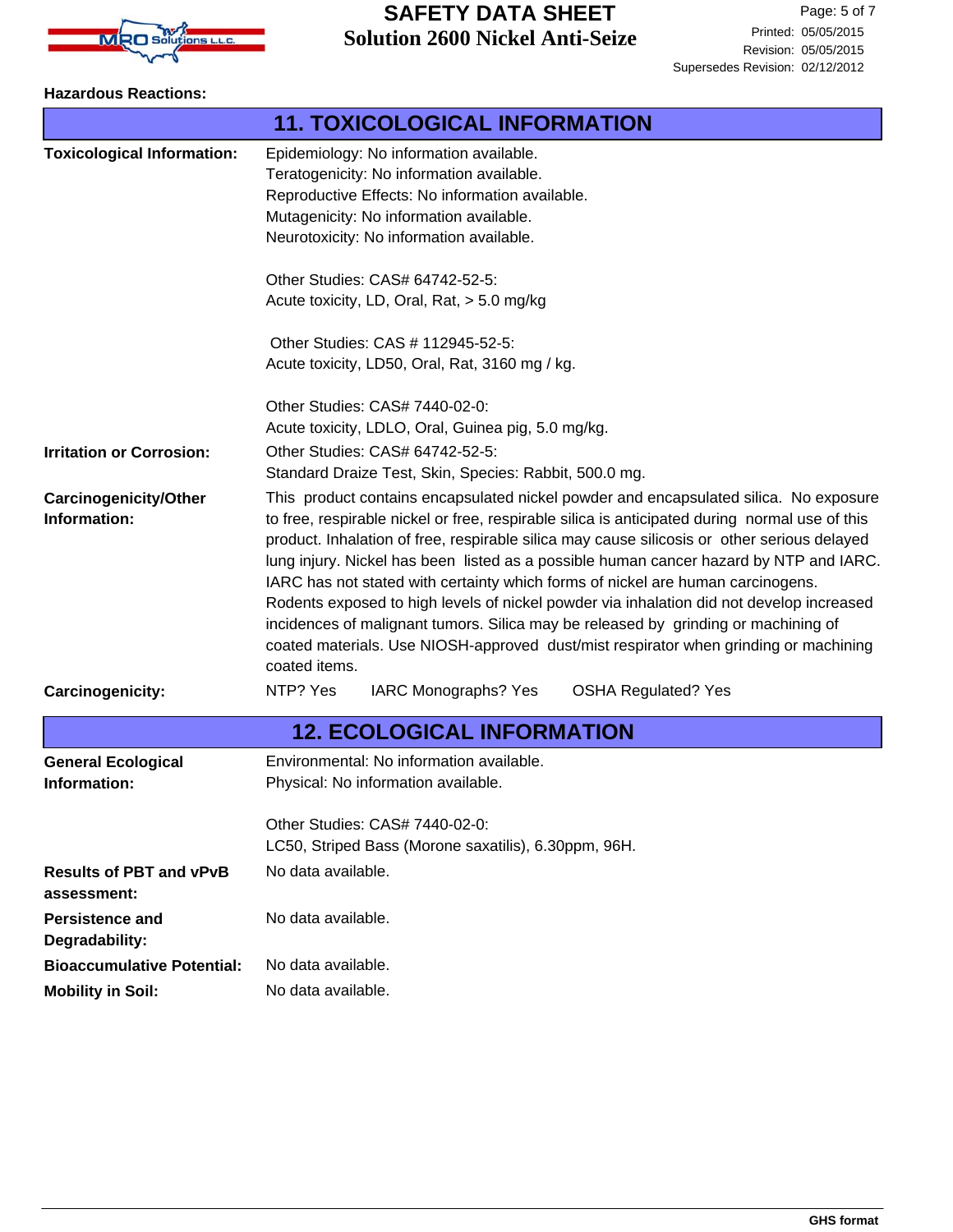

#### **Hazardous Reactions:**

|                                               | <b>11. TOXICOLOGICAL INFORMATION</b>                                                                                                                                                                                                                                                                                                                                                                                                                                                                                                                                                                                                                                                                                                                           |  |  |
|-----------------------------------------------|----------------------------------------------------------------------------------------------------------------------------------------------------------------------------------------------------------------------------------------------------------------------------------------------------------------------------------------------------------------------------------------------------------------------------------------------------------------------------------------------------------------------------------------------------------------------------------------------------------------------------------------------------------------------------------------------------------------------------------------------------------------|--|--|
| <b>Toxicological Information:</b>             | Epidemiology: No information available.<br>Teratogenicity: No information available.<br>Reproductive Effects: No information available.<br>Mutagenicity: No information available.<br>Neurotoxicity: No information available.                                                                                                                                                                                                                                                                                                                                                                                                                                                                                                                                 |  |  |
|                                               | Other Studies: CAS# 64742-52-5:<br>Acute toxicity, LD, Oral, Rat, > 5.0 mg/kg                                                                                                                                                                                                                                                                                                                                                                                                                                                                                                                                                                                                                                                                                  |  |  |
|                                               | Other Studies: CAS # 112945-52-5:<br>Acute toxicity, LD50, Oral, Rat, 3160 mg / kg.                                                                                                                                                                                                                                                                                                                                                                                                                                                                                                                                                                                                                                                                            |  |  |
| <b>Irritation or Corrosion:</b>               | Other Studies: CAS# 7440-02-0:<br>Acute toxicity, LDLO, Oral, Guinea pig, 5.0 mg/kg.<br>Other Studies: CAS# 64742-52-5:                                                                                                                                                                                                                                                                                                                                                                                                                                                                                                                                                                                                                                        |  |  |
|                                               | Standard Draize Test, Skin, Species: Rabbit, 500.0 mg.                                                                                                                                                                                                                                                                                                                                                                                                                                                                                                                                                                                                                                                                                                         |  |  |
| <b>Carcinogenicity/Other</b><br>Information:  | This product contains encapsulated nickel powder and encapsulated silica. No exposure<br>to free, respirable nickel or free, respirable silica is anticipated during normal use of this<br>product. Inhalation of free, respirable silica may cause silicosis or other serious delayed<br>lung injury. Nickel has been listed as a possible human cancer hazard by NTP and IARC.<br>IARC has not stated with certainty which forms of nickel are human carcinogens.<br>Rodents exposed to high levels of nickel powder via inhalation did not develop increased<br>incidences of malignant tumors. Silica may be released by grinding or machining of<br>coated materials. Use NIOSH-approved dust/mist respirator when grinding or machining<br>coated items. |  |  |
| Carcinogenicity:                              | NTP? Yes<br>IARC Monographs? Yes<br><b>OSHA Regulated? Yes</b>                                                                                                                                                                                                                                                                                                                                                                                                                                                                                                                                                                                                                                                                                                 |  |  |
|                                               | <b>12. ECOLOGICAL INFORMATION</b>                                                                                                                                                                                                                                                                                                                                                                                                                                                                                                                                                                                                                                                                                                                              |  |  |
| <b>General Ecological</b><br>Information:     | Environmental: No information available.<br>Physical: No information available.<br>Other Studies: CAS# 7440-02-0:<br>LC50, Striped Bass (Morone saxatilis), 6.30ppm, 96H.                                                                                                                                                                                                                                                                                                                                                                                                                                                                                                                                                                                      |  |  |
| <b>Results of PBT and vPvB</b><br>assessment: | No data available.                                                                                                                                                                                                                                                                                                                                                                                                                                                                                                                                                                                                                                                                                                                                             |  |  |
| Persistence and<br>Degradability:             | No data available.                                                                                                                                                                                                                                                                                                                                                                                                                                                                                                                                                                                                                                                                                                                                             |  |  |
| <b>Bioaccumulative Potential:</b>             | No data available.                                                                                                                                                                                                                                                                                                                                                                                                                                                                                                                                                                                                                                                                                                                                             |  |  |
| <b>Mobility in Soil:</b>                      | No data available.                                                                                                                                                                                                                                                                                                                                                                                                                                                                                                                                                                                                                                                                                                                                             |  |  |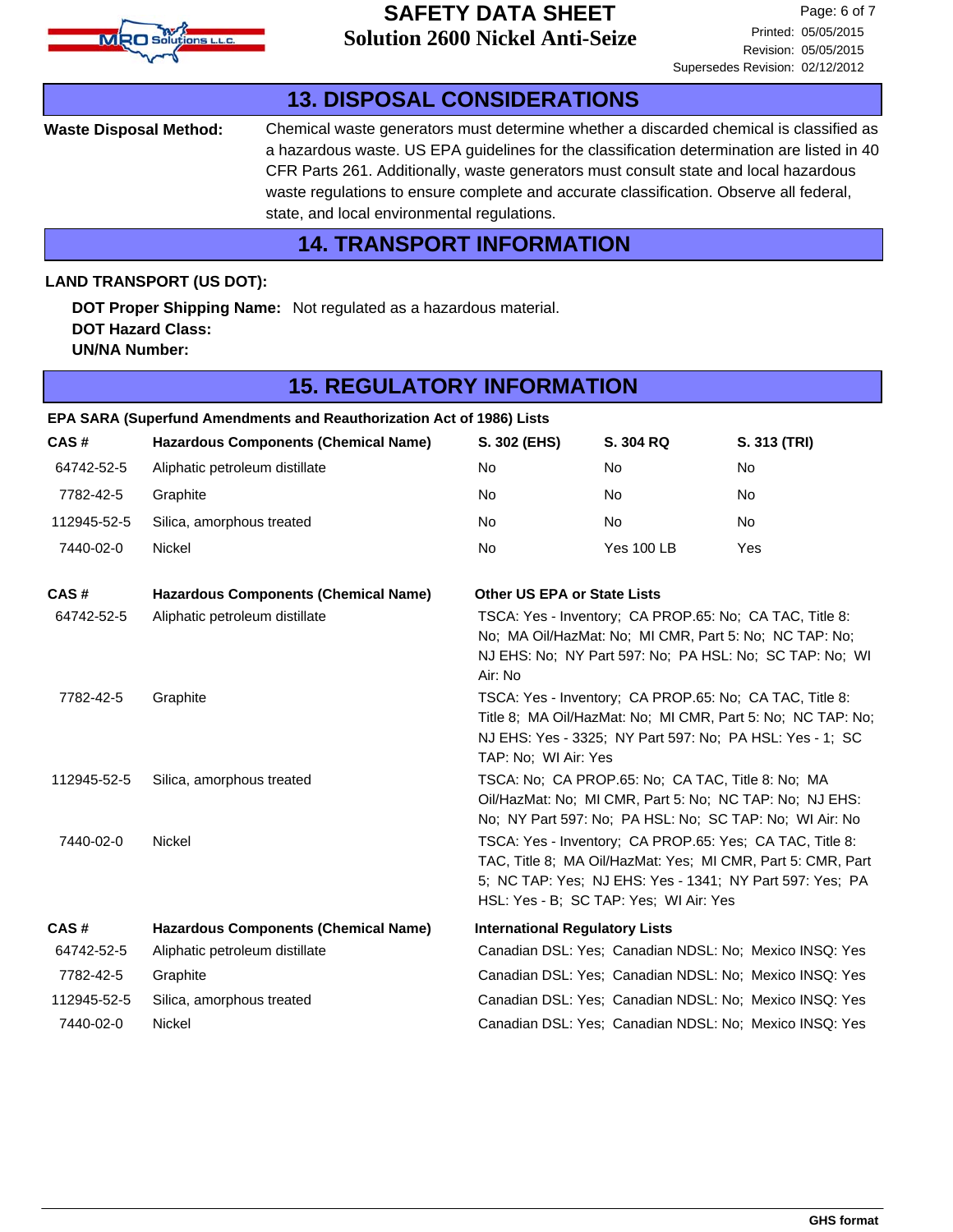

### Chemical waste generators must determine whether a discarded chemical is classified as a hazardous waste. US EPA guidelines for the classification determination are listed in 40 CFR Parts 261. Additionally, waste generators must consult state and local hazardous waste regulations to ensure complete and accurate classification. Observe all federal, state, and local environmental regulations. **Waste Disposal Method: 13. DISPOSAL CONSIDERATIONS 14. TRANSPORT INFORMATION DOT Proper Shipping Name:** Not regulated as a hazardous material. **DOT Hazard Class: UN/NA Number: LAND TRANSPORT (US DOT): CAS # Hazardous Components (Chemical Name) 15. REGULATORY INFORMATION S. 302 (EHS) S. 304 RQ S. 313 (TRI) EPA SARA (Superfund Amendments and Reauthorization Act of 1986) Lists** 64742-52-5 Aliphatic petroleum distillate No No No 7782-42-5 Graphite No No No 112945-52-5 Silica, amorphous treated No No No 7440-02-0 Nickel No Yes 100 LB Yes **CAS # Hazardous Components (Chemical Name) Other US EPA or State Lists** 64742-52-5 Aliphatic petroleum distillate TSCA: Yes - Inventory; CA PROP.65: No; CA TAC, Title 8: No; MA Oil/HazMat: No; MI CMR, Part 5: No; NC TAP: No; NJ EHS: No; NY Part 597: No; PA HSL: No; SC TAP: No; WI Air: No 7782-42-5 Graphite TSCA: Yes - Inventory; CA PROP.65: No; CA TAC, Title 8: Title 8; MA Oil/HazMat: No; MI CMR, Part 5: No; NC TAP: No; NJ EHS: Yes - 3325; NY Part 597: No; PA HSL: Yes - 1; SC TAP: No; WI Air: Yes 112945-52-5 Silica, amorphous treated TSCA: No; CA PROP.65: No; CA TAC, Title 8: No; MA Oil/HazMat: No; MI CMR, Part 5: No; NC TAP: No; NJ EHS: No; NY Part 597: No; PA HSL: No; SC TAP: No; WI Air: No 7440-02-0 Nickel TSCA: Yes - Inventory; CA PROP.65: Yes; CA TAC, Title 8: TAC, Title 8; MA Oil/HazMat: Yes; MI CMR, Part 5: CMR, Part 5; NC TAP: Yes; NJ EHS: Yes - 1341; NY Part 597: Yes; PA HSL: Yes - B; SC TAP: Yes; WI Air: Yes **CAS # Hazardous Components (Chemical Name) International Regulatory Lists** 64742-52-5 Aliphatic petroleum distillate Canadian DSL: Yes; Canadian NDSL: No; Mexico INSQ: Yes 7782-42-5 Graphite Canadian DSL: Yes; Canadian NDSL: No; Mexico INSQ: Yes 112945-52-5 Silica, amorphous treated Canadian DSL: Yes; Canadian NDSL: No; Mexico INSQ: Yes 7440-02-0 Nickel Canadian DSL: Yes; Canadian NDSL: No; Mexico INSQ: Yes